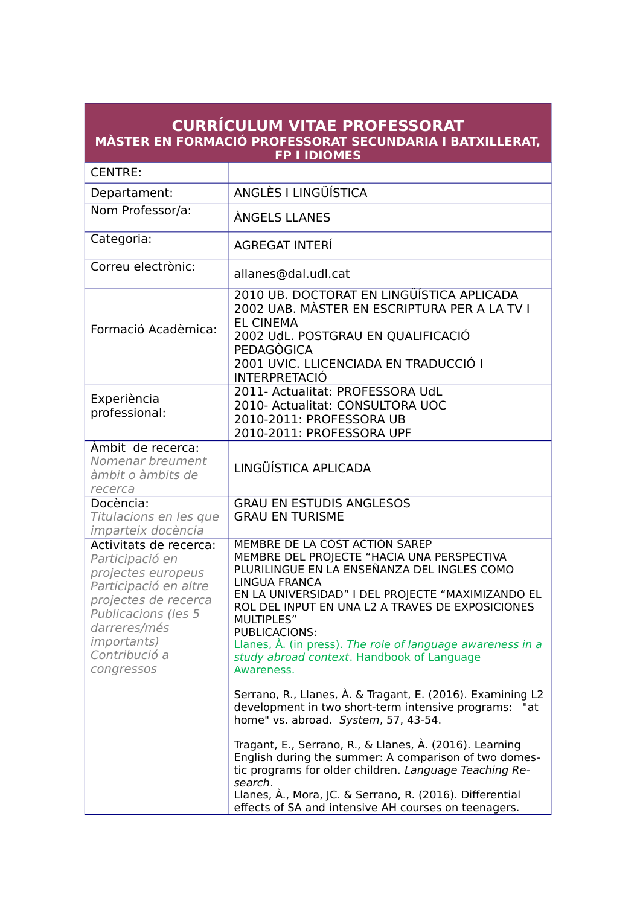| <b>CURRÍCULUM VITAE PROFESSORAT</b><br>MÀSTER EN FORMACIÓ PROFESSORAT SECUNDARIA I BATXILLERAT,<br><b>FP I IDIOMES</b>                                                                                        |                                                                                                                                                                                                                                                                                                                                                                                                                                                                          |
|---------------------------------------------------------------------------------------------------------------------------------------------------------------------------------------------------------------|--------------------------------------------------------------------------------------------------------------------------------------------------------------------------------------------------------------------------------------------------------------------------------------------------------------------------------------------------------------------------------------------------------------------------------------------------------------------------|
| <b>CENTRE:</b>                                                                                                                                                                                                |                                                                                                                                                                                                                                                                                                                                                                                                                                                                          |
| Departament:                                                                                                                                                                                                  | ANGLÈS I LINGÜÍSTICA                                                                                                                                                                                                                                                                                                                                                                                                                                                     |
| Nom Professor/a:                                                                                                                                                                                              | ÀNGELS LLANES                                                                                                                                                                                                                                                                                                                                                                                                                                                            |
| Categoria:                                                                                                                                                                                                    | <b>AGREGAT INTERÍ</b>                                                                                                                                                                                                                                                                                                                                                                                                                                                    |
| Correu electrònic:                                                                                                                                                                                            | allanes@dal.udl.cat                                                                                                                                                                                                                                                                                                                                                                                                                                                      |
| Formació Acadèmica:                                                                                                                                                                                           | 2010 UB. DOCTORAT EN LINGÜÍSTICA APLICADA<br>2002 UAB. MÀSTER EN ESCRIPTURA PER A LA TV I<br><b>EL CINEMA</b><br>2002 UdL. POSTGRAU EN QUALIFICACIÓ<br>PEDAGÒGICA<br>2001 UVIC. LLICENCIADA EN TRADUCCIÓ I<br><b>INTERPRETACIÓ</b>                                                                                                                                                                                                                                       |
| Experiència<br>professional:                                                                                                                                                                                  | 2011- Actualitat: PROFESSORA UdL<br>2010- Actualitat: CONSULTORA UOC<br>2010-2011: PROFESSORA UB<br>2010-2011: PROFESSORA UPF                                                                                                                                                                                                                                                                                                                                            |
| Àmbit de recerca:<br>Nomenar breument<br>àmbit o àmbits de<br>recerca                                                                                                                                         | LINGÜÍSTICA APLICADA                                                                                                                                                                                                                                                                                                                                                                                                                                                     |
| Docència:<br>Titulacions en les que<br>imparteix docència                                                                                                                                                     | <b>GRAU EN ESTUDIS ANGLESOS</b><br><b>GRAU EN TURISME</b>                                                                                                                                                                                                                                                                                                                                                                                                                |
| Activitats de recerca:<br>Participació en<br>projectes europeus<br>Participació en altre<br>projectes de recerca<br>Publicacions (les 5<br>darreres/més<br><i>importants</i> )<br>Contribució a<br>congressos | MEMBRE DE LA COST ACTION SAREP<br>MEMBRE DEL PROJECTE "HACIA UNA PERSPECTIVA<br>PLURILINGUE EN LA ENSEÑANZA DEL INGLES COMO<br><b>LINGUA FRANCA</b><br>EN LA UNIVERSIDAD" I DEL PROJECTE "MAXIMIZANDO EL<br>ROL DEL INPUT EN UNA L2 A TRAVES DE EXPOSICIONES<br>MULTIPLES"<br>PUBLICACIONS:<br>Llanes, À. (in press). The role of language awareness in a<br>study abroad context. Handbook of Language<br>Awareness.                                                    |
|                                                                                                                                                                                                               | Serrano, R., Llanes, À. & Tragant, E. (2016). Examining L2<br>development in two short-term intensive programs: "at<br>home" vs. abroad. System, 57, 43-54.<br>Tragant, E., Serrano, R., & Llanes, À. (2016). Learning<br>English during the summer: A comparison of two domes-<br>tic programs for older children. Language Teaching Re-<br>search.<br>Llanes, À., Mora, JC. & Serrano, R. (2016). Differential<br>effects of SA and intensive AH courses on teenagers. |